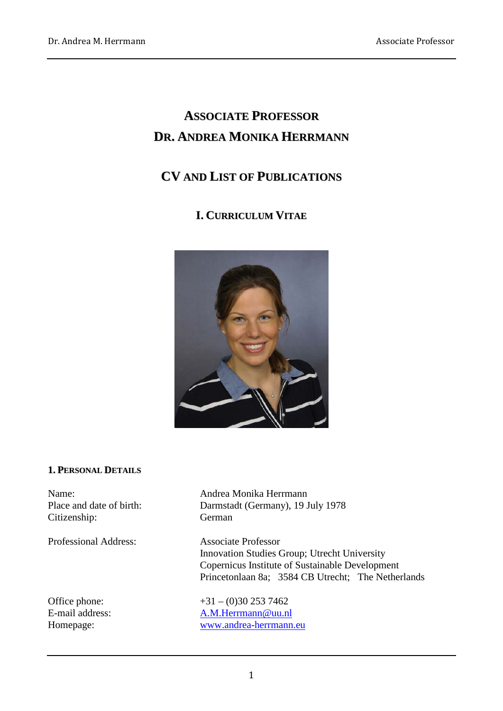# **ASSOCIATE PROFESSOR DR. ANDREA MONIKA HERRMANN**

# **CV AND LIST OF PUBLICATIONS**

# **I. CURRICULUM VITAE**



#### **1. PERSONAL DETAILS**

Citizenship: German

Professional Address: Associate Professor

Name: Andrea Monika Herrmann Place and date of birth: Darmstadt (Germany), 19 July 1978

> Innovation Studies Group; Utrecht University Copernicus Institute of Sustainable Development Princetonlaan 8a; 3584 CB Utrecht; The Netherlands

Office phone:  $+31 - (0)30 253 7462$ E-mail address: [A.M.Herrmann@uu.nl](mailto:A.M.Herrmann@uu.nl) Homepage: [www.andrea-herrmann.e](http://www.andrea-herrmann./)u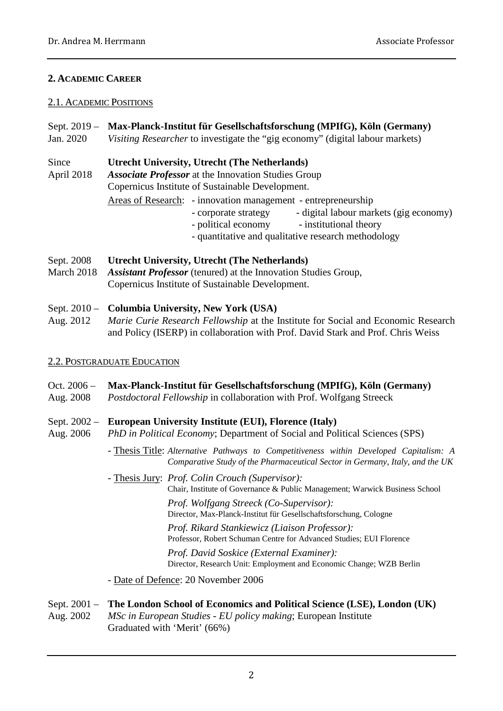### **2. ACADEMIC CAREER**

#### 2.1. ACADEMIC POSITIONS

- Sept. 2019 **Max-Planck-Institut für Gesellschaftsforschung (MPIfG), Köln (Germany)**
- Jan. 2020 *Visiting Researcher* to investigate the "gig economy" (digital labour markets)
- Since **Utrecht University, Utrecht (The Netherlands)**
- April 2018 *Associate Professor* at the Innovation Studies Group
	- Copernicus Institute of Sustainable Development.
		- Areas of Research: innovation management entrepreneurship
			- corporate strategy digital labour markets (gig economy)
			- political economy institutional theory
			- quantitative and qualitative research methodology
- Sept. 2008 **Utrecht University, Utrecht (The Netherlands)**
- March 2018 *Assistant Professor* (tenured) at the Innovation Studies Group, Copernicus Institute of Sustainable Development.

# Sept. 2010 – **Columbia University, New York (USA)**

Aug. 2012 *Marie Curie Research Fellowship* at the Institute for Social and Economic Research and Policy (ISERP) in collaboration with Prof. David Stark and Prof. Chris Weiss

# 2.2. POSTGRADUATE EDUCATION

# Oct. 2006 – **Max-Planck-Institut für Gesellschaftsforschung (MPIfG), Köln (Germany)**

Aug. 2008 *Postdoctoral Fellowship* in collaboration with Prof. Wolfgang Streeck

#### Sept. 2002 – **European University Institute (EUI), Florence (Italy)**

- Aug. 2006 *PhD in Political Economy*; Department of Social and Political Sciences (SPS)
	- Thesis Title: *Alternative Pathways to Competitiveness within Developed Capitalism: A Comparative Study of the Pharmaceutical Sector in Germany, Italy, and the UK*
	- Thesis Jury: *Prof. Colin Crouch (Supervisor):*  Chair, Institute of Governance & Public Management; Warwick Business School *Prof. Wolfgang Streeck (Co-Supervisor):* Director, Max-Planck-Institut für Gesellschaftsforschung, Cologne *Prof. Rikard Stankiewicz (Liaison Professor):* Professor, Robert Schuman Centre for Advanced Studies; EUI Florence *Prof. David Soskice (External Examiner):* Director, Research Unit: Employment and Economic Change; WZB Berlin

- Date of Defence: 20 November 2006

# Sept. 2001 – **The London School of Economics and Political Science (LSE), London (UK)**

Aug. 2002 *MSc in European Studies - EU policy making*; European Institute Graduated with 'Merit' (66%)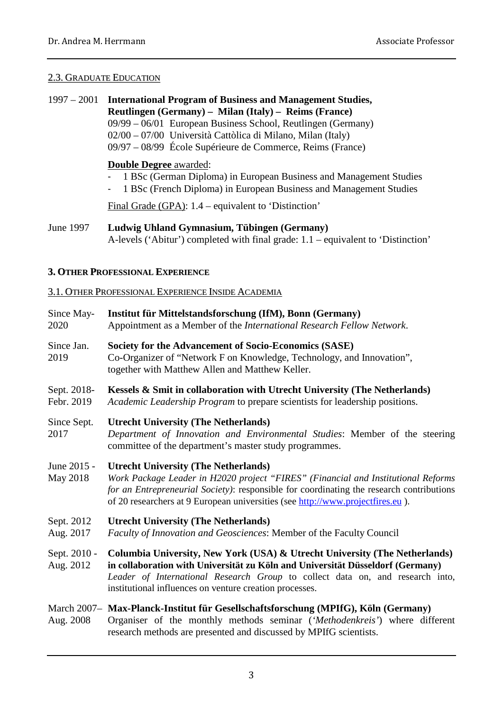#### 2.3. GRADUATE EDUCATION

1997 – 2001 **International Program of Business and Management Studies, Reutlingen (Germany) – Milan (Italy) – Reims (France)** 09/99 – 06/01 European Business School, Reutlingen (Germany) 02/00 – 07/00 Università Cattòlica di Milano, Milan (Italy) 09/97 – 08/99 École Supérieure de Commerce, Reims (France) **Double Degree** awarded: - 1 BSc (German Diploma) in European Business and Management Studies<br>- 1 BSc (French Diploma) in European Business and Management Studies - 1 BSc (French Diploma) in European Business and Management Studies

Final Grade (GPA): 1.4 – equivalent to 'Distinction'

#### **3. OTHER PROFESSIONAL EXPERIENCE**

#### 3.1. OTHER PROFESSIONAL EXPERIENCE INSIDE ACADEMIA

| Since May-<br>2020        | Institut für Mittelstandsforschung (IfM), Bonn (Germany)<br>Appointment as a Member of the International Research Fellow Network.                                                                                                                                                                              |
|---------------------------|----------------------------------------------------------------------------------------------------------------------------------------------------------------------------------------------------------------------------------------------------------------------------------------------------------------|
| Since Jan.<br>2019        | Society for the Advancement of Socio-Economics (SASE)<br>Co-Organizer of "Network F on Knowledge, Technology, and Innovation",<br>together with Matthew Allen and Matthew Keller.                                                                                                                              |
| Sept. 2018-<br>Febr. 2019 | Kessels & Smit in collaboration with Utrecht University (The Netherlands)<br>Academic Leadership Program to prepare scientists for leadership positions.                                                                                                                                                       |
| Since Sept.<br>2017       | <b>Utrecht University (The Netherlands)</b><br>Department of Innovation and Environmental Studies: Member of the steering<br>committee of the department's master study programmes.                                                                                                                            |
| June 2015 -<br>May 2018   | <b>Utrecht University (The Netherlands)</b><br>Work Package Leader in H2020 project "FIRES" (Financial and Institutional Reforms<br>for an Entrepreneurial Society): responsible for coordinating the research contributions<br>of 20 researchers at 9 European universities (see http://www.projectfires.eu). |
| Sept. 2012<br>Aug. 2017   | <b>Utrecht University (The Netherlands)</b><br>Faculty of Innovation and Geosciences: Member of the Faculty Council                                                                                                                                                                                            |
| Sept. 2010 -<br>Aug. 2012 | Columbia University, New York (USA) & Utrecht University (The Netherlands)<br>in collaboration with Universität zu Köln and Universität Düsseldorf (Germany)<br>Leader of International Research Group to collect data on, and research into,<br>institutional influences on venture creation processes.       |
| Aug. 2008                 | March 2007- Max-Planck-Institut für Gesellschaftsforschung (MPIfG), Köln (Germany)<br>Organiser of the monthly methods seminar ('Methodenkreis') where different<br>research methods are presented and discussed by MPIfG scientists.                                                                          |

June 1997 **Ludwig Uhland Gymnasium, Tübingen (Germany)** A-levels ('Abitur') completed with final grade: 1.1 – equivalent to 'Distinction'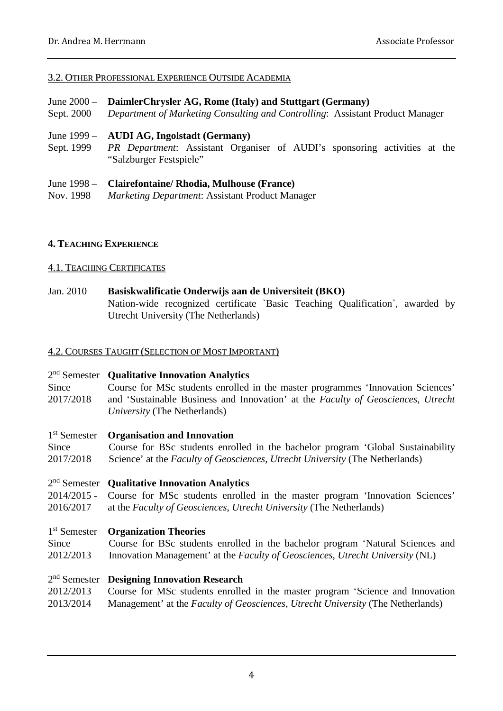#### 3.2. OTHER PROFESSIONAL EXPERIENCE OUTSIDE ACADEMIA

- June 2000 **DaimlerChrysler AG, Rome (Italy) and Stuttgart (Germany)**
- Sept. 2000 *Department of Marketing Consulting and Controlling*: Assistant Product Manager
- June 1999 **AUDI AG, Ingolstadt (Germany)**
- Sept. 1999 *PR Department*: Assistant Organiser of AUDI's sponsoring activities at the "Salzburger Festspiele"
- June 1998 **Clairefontaine/ Rhodia, Mulhouse (France)**
- Nov. 1998 *Marketing Department*: Assistant Product Manager

#### **4. TEACHING EXPERIENCE**

#### 4.1. TEACHING CERTIFICATES

Jan. 2010 **Basiskwalificatie Onderwijs aan de Universiteit (BKO)** Nation-wide recognized certificate `Basic Teaching Qualification`, awarded by Utrecht University (The Netherlands)

#### 4.2. COURSES TAUGHT (SELECTION OF MOST IMPORTANT)

#### 2nd Semester **Qualitative Innovation Analytics**

Since Course for MSc students enrolled in the master programmes 'Innovation Sciences' 2017/2018 and 'Sustainable Business and Innovation' at the *Faculty of Geosciences*, *Utrecht University* (The Netherlands)

#### 1st Semester **Organisation and Innovation**

Since Course for BSc students enrolled in the bachelor program 'Global Sustainability 2017/2018 Science' at the *Faculty of Geosciences*, *Utrecht University* (The Netherlands)

# 2nd Semester **Qualitative Innovation Analytics**

2014/2015 - Course for MSc students enrolled in the master program 'Innovation Sciences' 2016/2017 at the *Faculty of Geosciences*, *Utrecht University* (The Netherlands)

#### 1st Semester **Organization Theories**

Since Course for BSc students enrolled in the bachelor program 'Natural Sciences and 2012/2013 Innovation Management' at the *Faculty of Geosciences*, *Utrecht University* (NL)

### 2nd Semester **Designing Innovation Research**

2012/2013 Course for MSc students enrolled in the master program 'Science and Innovation 2013/2014 Management' at the *Faculty of Geosciences*, *Utrecht University* (The Netherlands)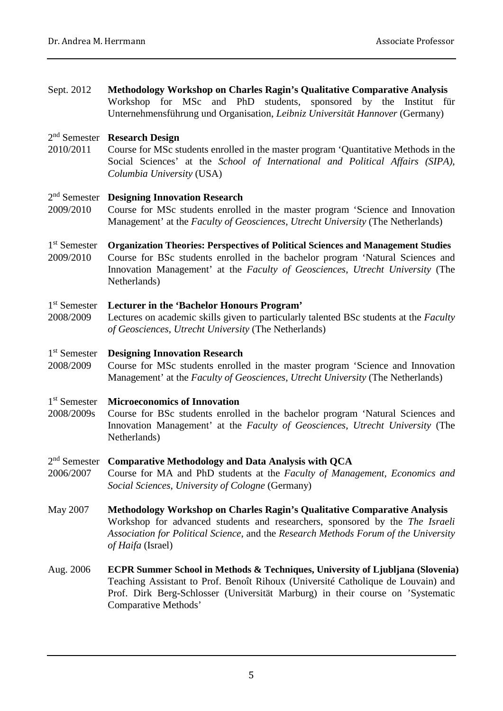Sept. 2012 **Methodology Workshop on Charles Ragin's Qualitative Comparative Analysis** Workshop for MSc and PhD students, sponsored by the Institut für Unternehmensführung und Organisation, *Leibniz Universität Hannover* (Germany)

# 2nd Semester **Research Design**

2010/2011 Course for MSc students enrolled in the master program 'Quantitative Methods in the Social Sciences' at the *School of International and Political Affairs (SIPA)*, *Columbia University* (USA)

#### 2nd Semester **Designing Innovation Research**

- 2009/2010 Course for MSc students enrolled in the master program 'Science and Innovation Management' at the *Faculty of Geosciences*, *Utrecht University* (The Netherlands)
- 1st Semester **Organization Theories: Perspectives of Political Sciences and Management Studies**
- 2009/2010 Course for BSc students enrolled in the bachelor program 'Natural Sciences and Innovation Management' at the *Faculty of Geosciences*, *Utrecht University* (The Netherlands)

#### 1st Semester **Lecturer in the 'Bachelor Honours Program'**

2008/2009 Lectures on academic skills given to particularly talented BSc students at the *Faculty of Geosciences*, *Utrecht University* (The Netherlands)

#### 1st Semester **Designing Innovation Research**

2008/2009 Course for MSc students enrolled in the master program 'Science and Innovation Management' at the *Faculty of Geosciences*, *Utrecht University* (The Netherlands)

#### 1st Semester **Microeconomics of Innovation**

2008/2009s Course for BSc students enrolled in the bachelor program 'Natural Sciences and Innovation Management' at the *Faculty of Geosciences*, *Utrecht University* (The Netherlands)

#### 2nd Semester **Comparative Methodology and Data Analysis with QCA**

- 2006/2007 Course for MA and PhD students at the *Faculty of Management, Economics and Social Sciences*, *University of Cologne* (Germany)
- May 2007 **Methodology Workshop on Charles Ragin's Qualitative Comparative Analysis** Workshop for advanced students and researchers, sponsored by the *The Israeli Association for Political Science*, and the *Research Methods Forum of the University of Haifa* (Israel)
- Aug. 2006 **ECPR Summer School in Methods & Techniques, University of Ljubljana (Slovenia)** Teaching Assistant to Prof. Benoît Rihoux (Université Catholique de Louvain) and Prof. Dirk Berg-Schlosser (Universität Marburg) in their course on 'Systematic Comparative Methods'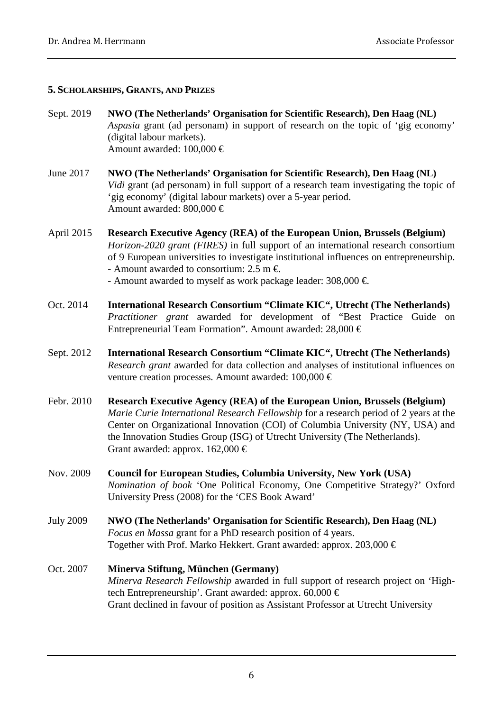#### **5. SCHOLARSHIPS, GRANTS, AND PRIZES**

- Sept. 2019 **NWO (The Netherlands' Organisation for Scientific Research), Den Haag (NL)** *Aspasia* grant (ad personam) in support of research on the topic of 'gig economy' (digital labour markets). Amount awarded: 100,000 €
- June 2017 **NWO (The Netherlands' Organisation for Scientific Research), Den Haag (NL)** *Vidi* grant (ad personam) in full support of a research team investigating the topic of 'gig economy' (digital labour markets) over a 5-year period. Amount awarded: 800,000 €
- April 2015 **Research Executive Agency (REA) of the European Union, Brussels (Belgium)** *Horizon-2020 grant (FIRES)* in full support of an international research consortium of 9 European universities to investigate institutional influences on entrepreneurship. - Amount awarded to consortium: 2.5 m  $\in$ - Amount awarded to myself as work package leader:  $308,000 \in$
- Oct. 2014 **International Research Consortium "Climate KIC", Utrecht (The Netherlands)** *Practitioner grant* awarded for development of "Best Practice Guide on Entrepreneurial Team Formation". Amount awarded: 28,000 €
- Sept. 2012 **International Research Consortium "Climate KIC", Utrecht (The Netherlands)** *Research grant* awarded for data collection and analyses of institutional influences on venture creation processes. Amount awarded: 100,000 €
- Febr. 2010 **Research Executive Agency (REA) of the European Union, Brussels (Belgium)** *Marie Curie International Research Fellowship* for a research period of 2 years at the Center on Organizational Innovation (COI) of Columbia University (NY, USA) and the Innovation Studies Group (ISG) of Utrecht University (The Netherlands). Grant awarded: approx.  $162,000 \in$
- Nov. 2009 **Council for European Studies, Columbia University, New York (USA)** *Nomination of book* 'One Political Economy, One Competitive Strategy?' Oxford University Press (2008) for the 'CES Book Award'
- July 2009 **NWO (The Netherlands' Organisation for Scientific Research), Den Haag (NL)** *Focus en Massa* grant for a PhD research position of 4 years. Together with Prof. Marko Hekkert. Grant awarded: approx. 203,000  $\in$
- Oct. 2007 **Minerva Stiftung, München (Germany)** *Minerva Research Fellowship* awarded in full support of research project on 'Hightech Entrepreneurship'. Grant awarded: approx. 60,000 € Grant declined in favour of position as Assistant Professor at Utrecht University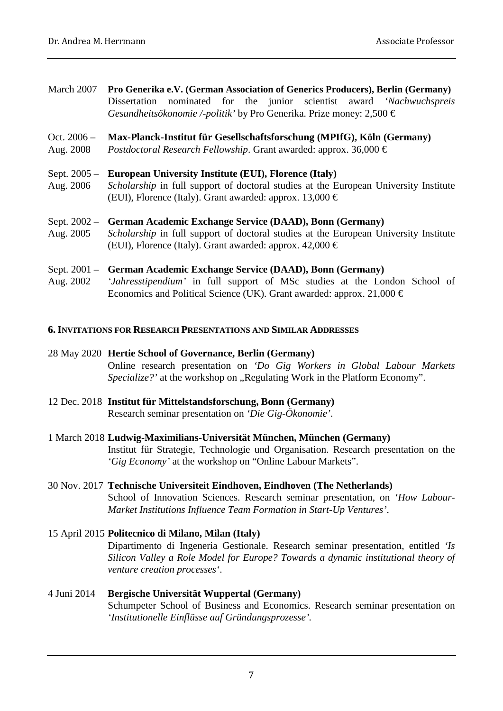March 2007 **Pro Generika e.V. (German Association of Generics Producers), Berlin (Germany)** Dissertation nominated for the junior scientist award *'Nachwuchspreis Gesundheitsökonomie /-politik'* by Pro Generika. Prize money: 2,500 €

#### Oct. 2006 – **Max-Planck-Institut für Gesellschaftsforschung (MPIfG), Köln (Germany)**

Aug. 2008 *Postdoctoral Research Fellowship*. Grant awarded: approx. 36,000 €

#### Sept. 2005 – **European University Institute (EUI), Florence (Italy)**

Aug. 2006 *Scholarship* in full support of doctoral studies at the European University Institute (EUI), Florence (Italy). Grant awarded: approx. 13,000  $\in$ 

#### Sept. 2002 – **German Academic Exchange Service (DAAD), Bonn (Germany)**

Aug. 2005 *Scholarship* in full support of doctoral studies at the European University Institute (EUI), Florence (Italy). Grant awarded: approx.  $42,000 \in$ 

#### Sept. 2001 – **German Academic Exchange Service (DAAD), Bonn (Germany)**

Aug. 2002 *'Jahresstipendium'* in full support of MSc studies at the London School of Economics and Political Science (UK). Grant awarded: approx. 21,000  $\in$ 

#### **6. INVITATIONS FOR RESEARCH PRESENTATIONS AND SIMILAR ADDRESSES**

- 28 May 2020 **Hertie School of Governance, Berlin (Germany)** Online research presentation on *'Do Gig Workers in Global Labour Markets Specialize?'* at the workshop on "Regulating Work in the Platform Economy".
- 12 Dec. 2018 **Institut für Mittelstandsforschung, Bonn (Germany)** Research seminar presentation on *'Die Gig-Ökonomie'*.
- 1 March 2018 **Ludwig-Maximilians-Universität München, München (Germany)** Institut für Strategie, Technologie und Organisation. Research presentation on the *'Gig Economy'* at the workshop on "Online Labour Markets".
- 30 Nov. 2017 **Technische Universiteit Eindhoven, Eindhoven (The Netherlands)** School of Innovation Sciences. Research seminar presentation, on *'How Labour-Market Institutions Influence Team Formation in Start-Up Ventures'*.
- 15 April 2015 **Politecnico di Milano, Milan (Italy)**

Dipartimento di Ingeneria Gestionale. Research seminar presentation, entitled *'Is Silicon Valley a Role Model for Europe? Towards a dynamic institutional theory of venture creation processes'*.

4 Juni 2014 **Bergische Universität Wuppertal (Germany)** Schumpeter School of Business and Economics. Research seminar presentation on *'Institutionelle Einflüsse auf Gründungsprozesse'.*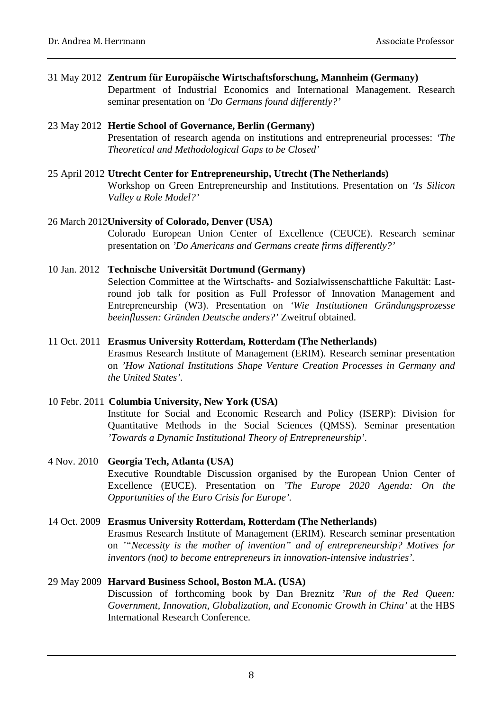#### 31 May 2012 **Zentrum für Europäische Wirtschaftsforschung, Mannheim (Germany)**

Department of Industrial Economics and International Management. Research seminar presentation on *'Do Germans found differently?'*

#### 23 May 2012 **Hertie School of Governance, Berlin (Germany)**

Presentation of research agenda on institutions and entrepreneurial processes: *'The Theoretical and Methodological Gaps to be Closed'*

#### 25 April 2012 **Utrecht Center for Entrepreneurship, Utrecht (The Netherlands)**

Workshop on Green Entrepreneurship and Institutions. Presentation on *'Is Silicon Valley a Role Model?'*

#### 26 March 2012**University of Colorado, Denver (USA)**

Colorado European Union Center of Excellence (CEUCE). Research seminar presentation on *'Do Americans and Germans create firms differently?'*

#### 10 Jan. 2012 **Technische Universität Dortmund (Germany)**

Selection Committee at the Wirtschafts- and Sozialwissenschaftliche Fakultät: Lastround job talk for position as Full Professor of Innovation Management and Entrepreneurship (W3). Presentation on *'Wie Institutionen Gründungsprozesse beeinflussen: Gründen Deutsche anders?'* Zweitruf obtained.

#### 11 Oct. 2011 **Erasmus University Rotterdam, Rotterdam (The Netherlands)** Erasmus Research Institute of Management (ERIM). Research seminar presentation

on *'How National Institutions Shape Venture Creation Processes in Germany and the United States'.*

# 10 Febr. 2011 **Columbia University, New York (USA)** Institute for Social and Economic Research and Policy (ISERP): Division for Quantitative Methods in the Social Sciences (QMSS). Seminar presentation *'Towards a Dynamic Institutional Theory of Entrepreneurship'.*

#### 4 Nov. 2010 **Georgia Tech, Atlanta (USA)** Executive Roundtable Discussion organised by the European Union Center of Excellence (EUCE). Presentation on *'The Europe 2020 Agenda: On the Opportunities of the Euro Crisis for Europe'.*

#### 14 Oct. 2009 **Erasmus University Rotterdam, Rotterdam (The Netherlands)** Erasmus Research Institute of Management (ERIM). Research seminar presentation on *'"Necessity is the mother of invention" and of entrepreneurship? Motives for inventors (not) to become entrepreneurs in innovation-intensive industries'.*

# 29 May 2009 **Harvard Business School, Boston M.A. (USA)**

Discussion of forthcoming book by Dan Breznitz *'Run of the Red Queen: Government, Innovation, Globalization, and Economic Growth in China'* at the HBS International Research Conference.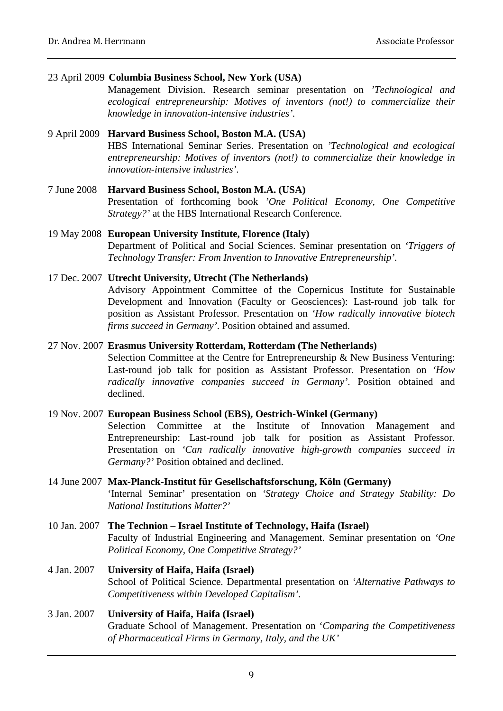23 April 2009 **Columbia Business School, New York (USA)**

Management Division. Research seminar presentation on *'Technological and ecological entrepreneurship: Motives of inventors (not!) to commercialize their knowledge in innovation-intensive industries'.*

# 9 April 2009 **Harvard Business School, Boston M.A. (USA)**

HBS International Seminar Series. Presentation on *'Technological and ecological entrepreneurship: Motives of inventors (not!) to commercialize their knowledge in innovation-intensive industries'.*

7 June 2008 **Harvard Business School, Boston M.A. (USA)** Presentation of forthcoming book *'One Political Economy, One Competitive Strategy?'* at the HBS International Research Conference.

#### 19 May 2008 **European University Institute, Florence (Italy)** Department of Political and Social Sciences. Seminar presentation on *'Triggers of Technology Transfer: From Invention to Innovative Entrepreneurship'.*

#### 17 Dec. 2007 **Utrecht University, Utrecht (The Netherlands)** Advisory Appointment Committee of the Copernicus Institute for Sustainable Development and Innovation (Faculty or Geosciences): Last-round job talk for position as Assistant Professor. Presentation on *'How radically innovative biotech firms succeed in Germany'*. Position obtained and assumed.

#### 27 Nov. 2007 **Erasmus University Rotterdam, Rotterdam (The Netherlands)**

Selection Committee at the Centre for Entrepreneurship & New Business Venturing: Last-round job talk for position as Assistant Professor. Presentation on *'How radically innovative companies succeed in Germany'*. Position obtained and declined.

### 19 Nov. 2007 **European Business School (EBS), Oestrich-Winkel (Germany)**

Selection Committee at the Institute of Innovation Management and Entrepreneurship: Last-round job talk for position as Assistant Professor. Presentation on *'Can radically innovative high-growth companies succeed in Germany?'* Position obtained and declined.

- 14 June 2007 **Max-Planck-Institut für Gesellschaftsforschung, Köln (Germany)** 'Internal Seminar' presentation on *'Strategy Choice and Strategy Stability: Do National Institutions Matter?'*
- 10 Jan. 2007 **The Technion – Israel Institute of Technology, Haifa (Israel)** Faculty of Industrial Engineering and Management. Seminar presentation on *'One Political Economy, One Competitive Strategy?'*
- 4 Jan. 2007 **University of Haifa, Haifa (Israel)** School of Political Science. Departmental presentation on *'Alternative Pathways to Competitiveness within Developed Capitalism'.*

### 3 Jan. 2007 **University of Haifa, Haifa (Israel)** Graduate School of Management. Presentation on '*Comparing the Competitiveness of Pharmaceutical Firms in Germany, Italy, and the UK'*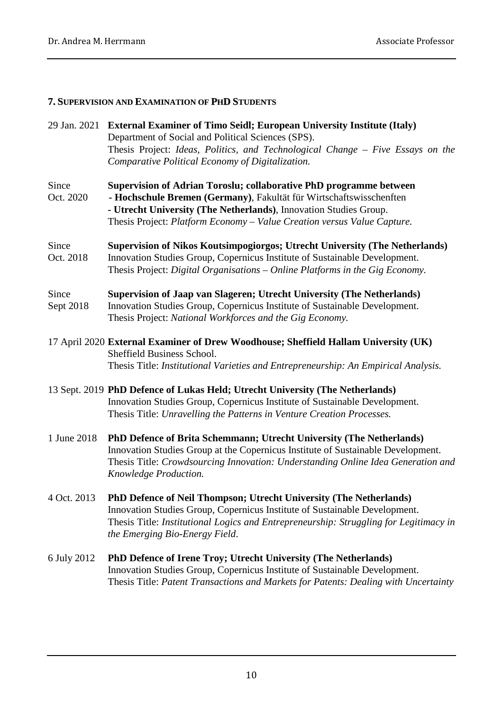# **7. SUPERVISION AND EXAMINATION OF PHD STUDENTS**

|                    | 29 Jan. 2021 External Examiner of Timo Seidl; European University Institute (Italy)<br>Department of Social and Political Sciences (SPS).<br>Thesis Project: Ideas, Politics, and Technological Change - Five Essays on the<br>Comparative Political Economy of Digitalization.           |
|--------------------|-------------------------------------------------------------------------------------------------------------------------------------------------------------------------------------------------------------------------------------------------------------------------------------------|
| Since<br>Oct. 2020 | Supervision of Adrian Toroslu; collaborative PhD programme between<br>- Hochschule Bremen (Germany), Fakultät für Wirtschaftswisschenften<br>- Utrecht University (The Netherlands), Innovation Studies Group.<br>Thesis Project: Platform Economy - Value Creation versus Value Capture. |
| Since<br>Oct. 2018 | Supervision of Nikos Koutsimpogiorgos; Utrecht University (The Netherlands)<br>Innovation Studies Group, Copernicus Institute of Sustainable Development.<br>Thesis Project: Digital Organisations – Online Platforms in the Gig Economy.                                                 |
| Since<br>Sept 2018 | Supervision of Jaap van Slageren; Utrecht University (The Netherlands)<br>Innovation Studies Group, Copernicus Institute of Sustainable Development.<br>Thesis Project: National Workforces and the Gig Economy.                                                                          |
|                    | 17 April 2020 External Examiner of Drew Woodhouse; Sheffield Hallam University (UK)<br>Sheffield Business School.<br>Thesis Title: Institutional Varieties and Entrepreneurship: An Empirical Analysis.                                                                                   |
|                    | 13 Sept. 2019 PhD Defence of Lukas Held; Utrecht University (The Netherlands)<br>Innovation Studies Group, Copernicus Institute of Sustainable Development.<br>Thesis Title: Unravelling the Patterns in Venture Creation Processes.                                                      |
| 1 June 2018        | PhD Defence of Brita Schemmann; Utrecht University (The Netherlands)<br>Innovation Studies Group at the Copernicus Institute of Sustainable Development.<br>Thesis Title: Crowdsourcing Innovation: Understanding Online Idea Generation and<br>Knowledge Production.                     |
| 4 Oct. 2013        | PhD Defence of Neil Thompson; Utrecht University (The Netherlands)<br>Innovation Studies Group, Copernicus Institute of Sustainable Development.<br>Thesis Title: Institutional Logics and Entrepreneurship: Struggling for Legitimacy in<br>the Emerging Bio-Energy Field.               |
| 6 July 2012        | PhD Defence of Irene Troy; Utrecht University (The Netherlands)<br>Innovation Studies Group, Copernicus Institute of Sustainable Development.<br>Thesis Title: Patent Transactions and Markets for Patents: Dealing with Uncertainty                                                      |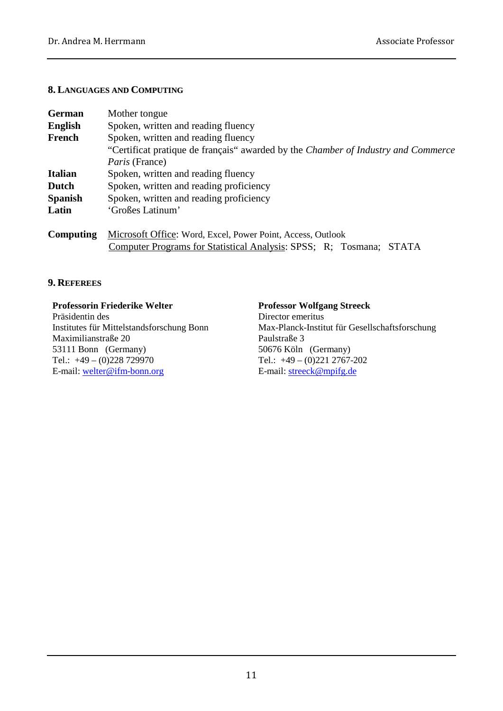#### **8. LANGUAGES AND COMPUTING**

| German         | Mother tongue                                                                            |
|----------------|------------------------------------------------------------------------------------------|
| <b>English</b> | Spoken, written and reading fluency                                                      |
| French         | Spoken, written and reading fluency                                                      |
|                | "Certificat pratique de français" awarded by the <i>Chamber of Industry and Commerce</i> |
|                | <i>Paris</i> (France)                                                                    |
| Italian        | Spoken, written and reading fluency                                                      |
| Dutch          | Spoken, written and reading proficiency                                                  |
| Spanish        | Spoken, written and reading proficiency                                                  |
| Latin          | 'Großes Latinum'                                                                         |
| Computing      | Microsoft Office: Word, Excel, Power Point, Access, Outlook                              |
|                | Computer Programs for Statistical Analysis: SPSS; R; Tosmana;<br><b>STATA</b>            |

#### **9. REFEREES**

# **Professorin Friederike Welter Professor Wolfgang Streeck**

Maximilianstraße 20 Paulstraße 3 53111 Bonn (Germany) 50676 Köln (Germany)<br>Tel.: +49 – (0)228 729970 Tel.: +49 – (0)221 2767E-mail: [welter@ifm-bonn.org](mailto:welter@ifm-bonn.org)

Director emeritus Institutes für Mittelstandsforschung Bonn Max-Planck-Institut für Gesellschaftsforschung Tel.:  $+49 - (0)2212767 - 202$ <br>E-mail: streeck@mpifg.de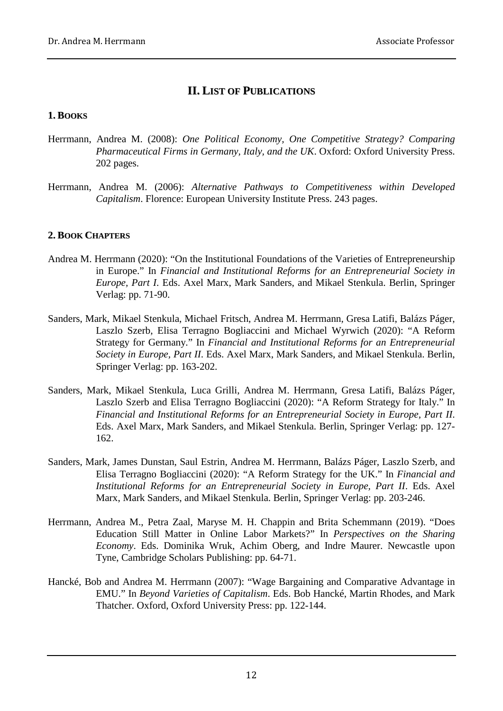# **II. LIST OF PUBLICATIONS**

#### **1. BOOKS**

- Herrmann, Andrea M. (2008): *One Political Economy, One Competitive Strategy? Comparing Pharmaceutical Firms in Germany, Italy, and the UK*. Oxford: Oxford University Press. 202 pages.
- Herrmann, Andrea M. (2006): *Alternative Pathways to Competitiveness within Developed Capitalism*. Florence: European University Institute Press. 243 pages.

# **2. BOOK CHAPTERS**

- Andrea M. Herrmann (2020): "On the Institutional Foundations of the Varieties of Entrepreneurship in Europe." In *Financial and Institutional Reforms for an Entrepreneurial Society in Europe, Part I*. Eds. Axel Marx, Mark Sanders, and Mikael Stenkula. Berlin, Springer Verlag: pp. 71-90.
- Sanders, Mark, Mikael Stenkula, Michael Fritsch, Andrea M. Herrmann, Gresa Latifi, Balázs Páger, Laszlo Szerb, Elisa Terragno Bogliaccini and Michael Wyrwich (2020): "A Reform Strategy for Germany." In *Financial and Institutional Reforms for an Entrepreneurial Society in Europe, Part II*. Eds. Axel Marx, Mark Sanders, and Mikael Stenkula. Berlin, Springer Verlag: pp. 163-202.
- Sanders, Mark, Mikael Stenkula, Luca Grilli, Andrea M. Herrmann, Gresa Latifi, Balázs Páger, Laszlo Szerb and Elisa Terragno Bogliaccini (2020): "A Reform Strategy for Italy." In *Financial and Institutional Reforms for an Entrepreneurial Society in Europe, Part II*. Eds. Axel Marx, Mark Sanders, and Mikael Stenkula. Berlin, Springer Verlag: pp. 127- 162.
- Sanders, Mark, James Dunstan, Saul Estrin, Andrea M. Herrmann, Balázs Páger, Laszlo Szerb, and Elisa Terragno Bogliaccini (2020): "A Reform Strategy for the UK." In *Financial and Institutional Reforms for an Entrepreneurial Society in Europe, Part II*. Eds. Axel Marx, Mark Sanders, and Mikael Stenkula. Berlin, Springer Verlag: pp. 203-246.
- Herrmann, Andrea M., Petra Zaal, Maryse M. H. Chappin and Brita Schemmann (2019). "Does Education Still Matter in Online Labor Markets?" In *Perspectives on the Sharing Economy*. Eds. Dominika Wruk, Achim Oberg, and Indre Maurer. Newcastle upon Tyne, Cambridge Scholars Publishing: pp. 64-71.
- Hancké, Bob and Andrea M. Herrmann (2007): "Wage Bargaining and Comparative Advantage in EMU." In *Beyond Varieties of Capitalism*. Eds. Bob Hancké, Martin Rhodes, and Mark Thatcher. Oxford, Oxford University Press: pp. 122-144.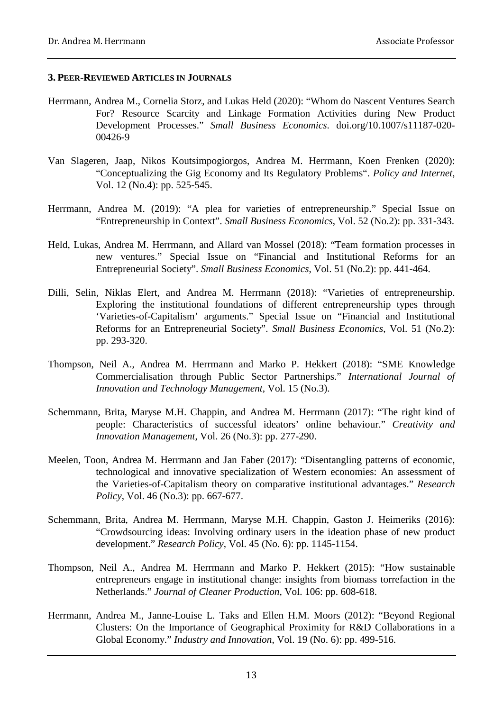#### **3. PEER-REVIEWED ARTICLES IN JOURNALS**

- Herrmann, Andrea M., Cornelia Storz, and Lukas Held (2020): "Whom do Nascent Ventures Search For? Resource Scarcity and Linkage Formation Activities during New Product Development Processes." *Small Business Economics*. doi.org/10.1007/s11187-020- 00426-9
- Van Slageren, Jaap, Nikos Koutsimpogiorgos, Andrea M. Herrmann, Koen Frenken (2020): "Conceptualizing the Gig Economy and Its Regulatory Problems". *Policy and Internet*, Vol. 12 (No.4): pp. 525-545.
- Herrmann, Andrea M. (2019): "A plea for varieties of entrepreneurship." Special Issue on "Entrepreneurship in Context". *Small Business Economics*, Vol. 52 (No.2): pp. 331-343.
- Held, Lukas, Andrea M. Herrmann, and Allard van Mossel (2018): "Team formation processes in new ventures." Special Issue on "Financial and Institutional Reforms for an Entrepreneurial Society". *Small Business Economics*, Vol. 51 (No.2): pp. 441-464.
- Dilli, Selin, Niklas Elert, and Andrea M. Herrmann (2018): "Varieties of entrepreneurship. Exploring the institutional foundations of different entrepreneurship types through 'Varieties-of-Capitalism' arguments." Special Issue on "Financial and Institutional Reforms for an Entrepreneurial Society". *Small Business Economics*, Vol. 51 (No.2): pp. 293-320.
- Thompson, Neil A., Andrea M. Herrmann and Marko P. Hekkert (2018): "SME Knowledge Commercialisation through Public Sector Partnerships." *International Journal of Innovation and Technology Management*, Vol. 15 (No.3).
- Schemmann, Brita, Maryse M.H. Chappin, and Andrea M. Herrmann (2017): "The right kind of people: Characteristics of successful ideators' online behaviour." *Creativity and Innovation Management*, Vol. 26 (No.3): pp. 277-290.
- Meelen, Toon, Andrea M. Herrmann and Jan Faber (2017): "Disentangling patterns of economic, technological and innovative specialization of Western economies: An assessment of the Varieties-of-Capitalism theory on comparative institutional advantages." *Research Policy*, Vol. 46 (No.3): pp. 667-677.
- Schemmann, Brita, Andrea M. Herrmann, Maryse M.H. Chappin, Gaston J. Heimeriks (2016): ["Crowdsourcing ideas: Involving ordinary users in the ideation phase of new product](http://www.sciencedirect.com.proxy.library.uu.nl/science/article/pii/S0048733316300166)  [development.](http://www.sciencedirect.com.proxy.library.uu.nl/science/article/pii/S0048733316300166)" *Research Policy*, Vol. 45 (No. 6): pp. 1145-1154.
- Thompson, Neil A., Andrea M. Herrmann and Marko P. Hekkert (2015): "How sustainable entrepreneurs engage in institutional change: insights from biomass torrefaction in the Netherlands." *Journal of Cleaner Production,* Vol. 106: pp. 608-618.
- Herrmann, Andrea M., Janne-Louise L. Taks and Ellen H.M. Moors (2012): "Beyond Regional Clusters: On the Importance of Geographical Proximity for R&D Collaborations in a Global Economy." *Industry and Innovation*, Vol. 19 (No. 6): pp. 499-516.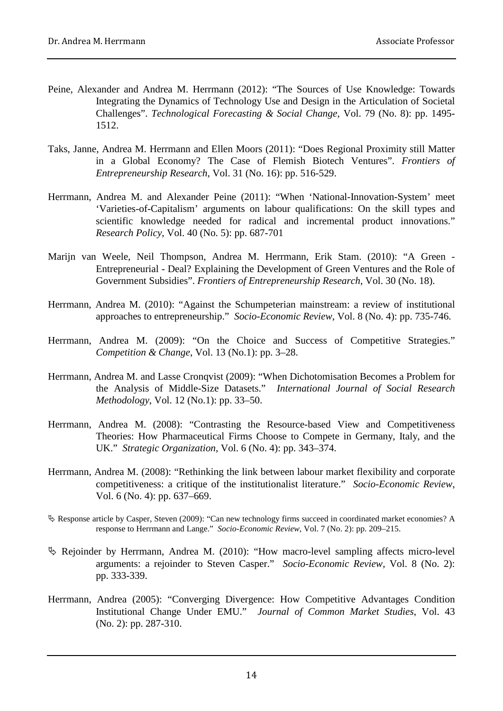- Peine, Alexander and Andrea M. Herrmann (2012): "The Sources of Use Knowledge: Towards Integrating the Dynamics of Technology Use and Design in the Articulation of Societal Challenges". *Technological Forecasting & Social Change*, Vol. 79 (No. 8): pp. 1495- 1512.
- Taks, Janne, Andrea M. Herrmann and Ellen Moors (2011): "Does Regional Proximity still Matter in a Global Economy? The Case of Flemish Biotech Ventures". *Frontiers of Entrepreneurship Research*, Vol. 31 (No. 16): pp. 516-529.
- Herrmann, Andrea M. and Alexander Peine (2011): "When 'National-Innovation-System' meet 'Varieties-of-Capitalism' arguments on labour qualifications: On the skill types and scientific knowledge needed for radical and incremental product innovations." *Research Policy*, Vol. 40 (No. 5): pp. 687-701
- Marijn van Weele, Neil Thompson, Andrea M. Herrmann, Erik Stam. (2010): "A Green Entrepreneurial - Deal? Explaining the Development of Green Ventures and the Role of Government Subsidies". *Frontiers of Entrepreneurship Research*, Vol. 30 (No. 18).
- Herrmann, Andrea M. (2010): "Against the Schumpeterian mainstream: a review of institutional approaches to entrepreneurship." *Socio-Economic Review*, Vol. 8 (No. 4): pp. 735-746.
- Herrmann, Andrea M. (2009): "On the Choice and Success of Competitive Strategies." *Competition & Change*, Vol. 13 (No.1): pp. 3–28.
- Herrmann, Andrea M. and Lasse Cronqvist (2009): "When Dichotomisation Becomes a Problem for the Analysis of Middle-Size Datasets." *International Journal of Social Research Methodology*, Vol. 12 (No.1): pp. 33–50.
- Herrmann, Andrea M. (2008): "Contrasting the Resource-based View and Competitiveness Theories: How Pharmaceutical Firms Choose to Compete in Germany, Italy, and the UK." *Strategic Organization*, Vol. 6 (No. 4): pp. 343–374.
- Herrmann, Andrea M. (2008): "Rethinking the link between labour market flexibility and corporate competitiveness: a critique of the institutionalist literature." *Socio-Economic Review*, Vol. 6 (No. 4): pp. 637–669.
- Response article by Casper, Steven (2009): "Can new technology firms succeed in coordinated market economies? A response to Herrmann and Lange." *Socio-Economic Review*, Vol. 7 (No. 2): pp. 209–215.
- Rejoinder by Herrmann, Andrea M. (2010): "How macro-level sampling affects micro-level arguments: a rejoinder to Steven Casper." *Socio-Economic Review*, Vol. 8 (No. 2): pp. 333-339.
- Herrmann, Andrea (2005): "Converging Divergence: How Competitive Advantages Condition Institutional Change Under EMU." *Journal of Common Market Studies*, Vol. 43 (No. 2): pp. 287-310.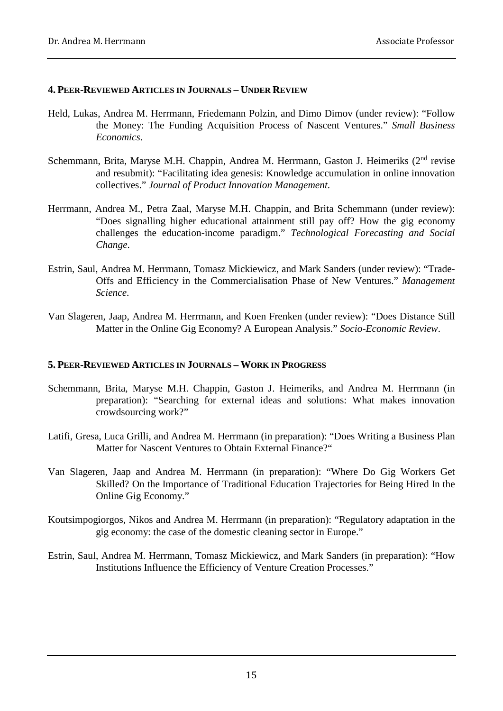#### **4. PEER-REVIEWED ARTICLES IN JOURNALS – UNDER REVIEW**

- Held, Lukas, Andrea M. Herrmann, Friedemann Polzin, and Dimo Dimov (under review): "Follow the Money: The Funding Acquisition Process of Nascent Ventures." *Small Business Economics*.
- Schemmann, Brita, Maryse M.H. Chappin, Andrea M. Herrmann, Gaston J. Heimeriks (2<sup>nd</sup> revise and resubmit): "Facilitating idea genesis: Knowledge accumulation in online innovation collectives." *Journal of Product Innovation Management*.
- Herrmann, Andrea M., Petra Zaal, Maryse M.H. Chappin, and Brita Schemmann (under review): "Does signalling higher educational attainment still pay off? How the gig economy challenges the education-income paradigm." *Technological Forecasting and Social Change*.
- Estrin, Saul, Andrea M. Herrmann, Tomasz Mickiewicz, and Mark Sanders (under review): "Trade-Offs and Efficiency in the Commercialisation Phase of New Ventures." *Management Science*.
- Van Slageren, Jaap, Andrea M. Herrmann, and Koen Frenken (under review): "Does Distance Still Matter in the Online Gig Economy? A European Analysis." *Socio-Economic Review*.

#### **5. PEER-REVIEWED ARTICLES IN JOURNALS – WORK IN PROGRESS**

- Schemmann, Brita, Maryse M.H. Chappin, Gaston J. Heimeriks, and Andrea M. Herrmann (in preparation): ["Searching](http://www.sciencedirect.com.proxy.library.uu.nl/science/article/pii/S0048733316300166) for external ideas and solutions: What makes innovation crowdsourcing work?"
- Latifi, Gresa, Luca Grilli, and Andrea M. Herrmann (in preparation): "Does Writing a Business Plan Matter for Nascent Ventures to Obtain External Finance?"
- Van Slageren, Jaap and Andrea M. Herrmann (in preparation): "Where Do Gig Workers Get Skilled? On the Importance of Traditional Education Trajectories for Being Hired In the Online Gig Economy."
- Koutsimpogiorgos, Nikos and Andrea M. Herrmann (in preparation): "Regulatory adaptation in the gig economy: the case of the domestic cleaning sector in Europe."
- Estrin, Saul, Andrea M. Herrmann, Tomasz Mickiewicz, and Mark Sanders (in preparation): "How Institutions Influence the Efficiency of Venture Creation Processes."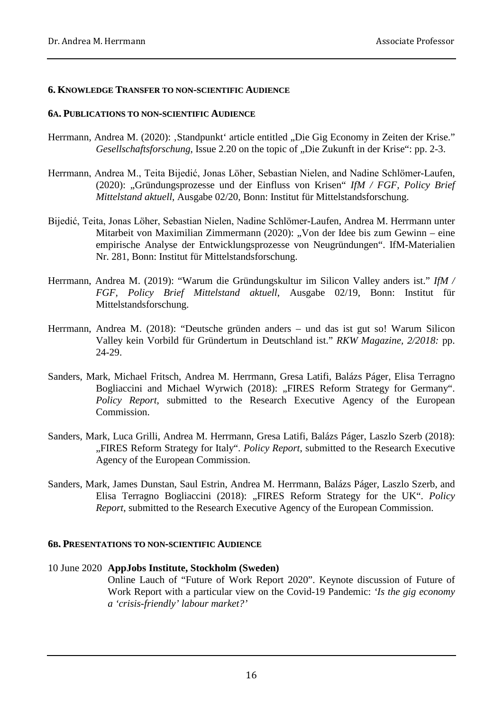#### **6. KNOWLEDGE TRANSFER TO NON-SCIENTIFIC AUDIENCE**

#### **6A. PUBLICATIONS TO NON-SCIENTIFIC AUDIENCE**

- Herrmann, Andrea M. (2020): ,Standpunkt' article entitled "Die Gig Economy in Zeiten der Krise." *Gesellschaftsforschung*, Issue 2.20 on the topic of "Die Zukunft in der Krise": pp. 2-3.
- Herrmann, Andrea M., Teita Bijedić, Jonas Löher, Sebastian Nielen, and Nadine Schlömer-Laufen, (2020): "Gründungsprozesse und der Einfluss von Krisen" *IfM / FGF, Policy Brief Mittelstand aktuell*, Ausgabe 02/20, Bonn: Institut für Mittelstandsforschung.
- Bijedić, Teita, Jonas Löher, Sebastian Nielen, Nadine Schlömer-Laufen, Andrea M. Herrmann unter Mitarbeit von Maximilian Zimmermann (2020): "Von der Idee bis zum Gewinn – eine empirische Analyse der Entwicklungsprozesse von Neugründungen". IfM-Materialien Nr. 281, Bonn: Institut für Mittelstandsforschung.
- Herrmann, Andrea M. (2019): "Warum die Gründungskultur im Silicon Valley anders ist." *IfM / FGF, Policy Brief Mittelstand aktuell*, Ausgabe 02/19, Bonn: Institut für Mittelstandsforschung.
- Herrmann, Andrea M. (2018): "Deutsche gründen anders und das ist gut so! Warum Silicon Valley kein Vorbild für Gründertum in Deutschland ist." *RKW Magazine, 2/2018:* pp. 24-29.
- Sanders, Mark, Michael Fritsch, Andrea M. Herrmann, Gresa Latifi, Balázs Páger, Elisa Terragno Bogliaccini and Michael Wyrwich (2018): "FIRES Reform Strategy for Germany". *Policy Report*, submitted to the Research Executive Agency of the European Commission.
- Sanders, Mark, Luca Grilli, Andrea M. Herrmann, Gresa Latifi, Balázs Páger, Laszlo Szerb (2018): "FIRES Reform Strategy for Italy". *Policy Report*, submitted to the Research Executive Agency of the European Commission.
- Sanders, Mark, James Dunstan, Saul Estrin, Andrea M. Herrmann, Balázs Páger, Laszlo Szerb, and Elisa Terragno Bogliaccini (2018): "FIRES Reform Strategy for the UK". *Policy Report*, submitted to the Research Executive Agency of the European Commission.

#### **6B. PRESENTATIONS TO NON-SCIENTIFIC AUDIENCE**

#### 10 June 2020 **AppJobs Institute, Stockholm (Sweden)**

Online Lauch of "Future of Work Report 2020". Keynote discussion of Future of Work Report with a particular view on the Covid-19 Pandemic: *'Is the gig economy a 'crisis-friendly' labour market?'*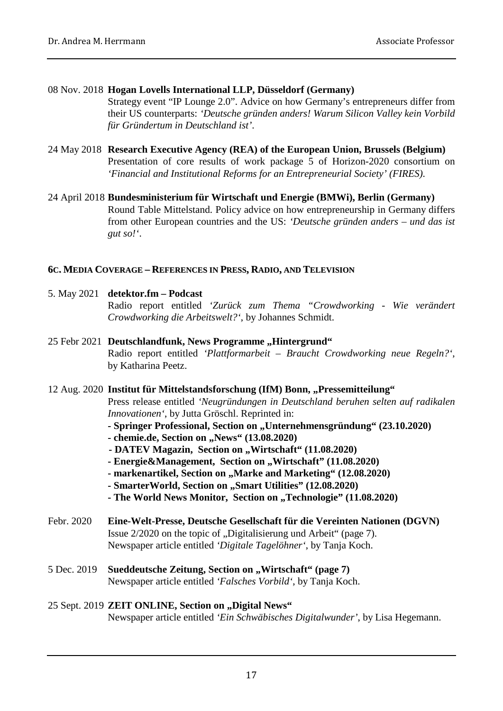#### 08 Nov. 2018 **Hogan Lovells International LLP, Düsseldorf (Germany)**

Strategy event "IP Lounge 2.0". Advice on how Germany's entrepreneurs differ from their US counterparts: *'Deutsche gründen anders! Warum Silicon Valley kein Vorbild für Gründertum in Deutschland ist'*.

- 24 May 2018 **Research Executive Agency (REA) of the European Union, Brussels (Belgium)** Presentation of core results of work package 5 of Horizon-2020 consortium on *'Financial and Institutional Reforms for an Entrepreneurial Society' (FIRES)*.
- 24 April 2018 **Bundesministerium für Wirtschaft und Energie (BMWi), Berlin (Germany)** Round Table Mittelstand. Policy advice on how entrepreneurship in Germany differs from other European countries and the US: *'Deutsche gründen anders – und das ist gut so!'*.

#### **6C. MEDIA COVERAGE – REFERENCES IN PRESS, RADIO, AND TELEVISION**

- 5. May 2021 **detektor.fm – Podcast**  Radio report entitled *'Zurück zum Thema "Crowdworking - Wie verändert Crowdworking die Arbeitswelt?'*, by Johannes Schmidt.
- 25 Febr 2021 Deutschlandfunk, News Programme, Hintergrund" Radio report entitled *'Plattformarbeit – Braucht Crowdworking neue Regeln?'*, by Katharina Peetz.

#### 12 Aug. 2020 Institut für Mittelstandsforschung (IfM) Bonn, "Pressemitteilung"

Press release entitled *'Neugründungen in Deutschland beruhen selten auf radikalen Innovationen'*, by Jutta Gröschl. Reprinted in:

- **- Springer Professional, Section on "Unternehmensgründung" (23.10.2020)**
- **- chemie.de, Section on , News**" (13.08.2020)
- **- DATEV Magazin, Section on ..Wirtschaft**" (11.08.2020)
- **- Energie&Management, Section on "Wirtschaft" (11.08.2020)**
- markenartikel, Section on "Marke and Marketing" (12.08.2020)
- **- SmarterWorld, Section on "Smart Utilities" (12.08.2020)**
- **- The World News Monitor, Section on "Technologie" (11.08.2020)**
- Febr. 2020 **Eine-Welt-Presse, Deutsche Gesellschaft für die Vereinten Nationen (DGVN)** Issue 2/2020 on the topic of "Digitalisierung und Arbeit" (page 7). Newspaper article entitled *'Digitale Tagelöhner'*, by Tanja Koch.
- 5 Dec. 2019 **Sueddeutsche Zeitung, Section on "Wirtschaft" (page 7)** Newspaper article entitled *'Falsches Vorbild'*, by Tanja Koch.

### 25 Sept. 2019 **ZEIT ONLINE, Section on "Digital News"** Newspaper article entitled *'Ein Schwäbisches Digitalwunder'*, by Lisa Hegemann.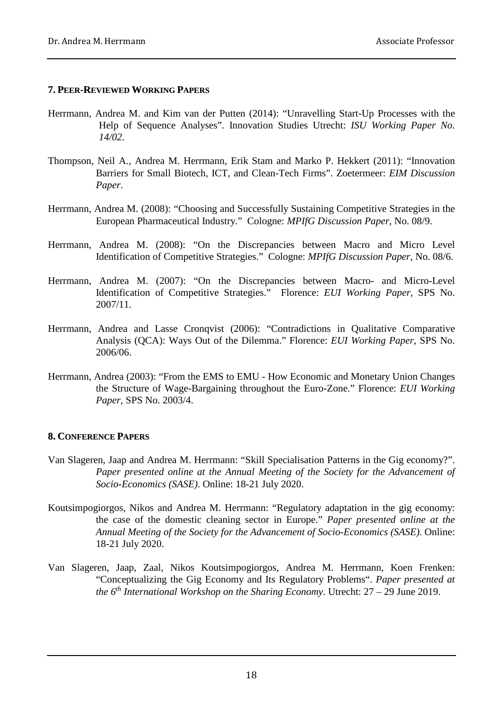#### **7. PEER-REVIEWED WORKING PAPERS**

- Herrmann, Andrea M. and Kim van der Putten (2014): "Unravelling Start-Up Processes with the Help of Sequence Analyses". Innovation Studies Utrecht: *ISU Working Paper No. 14/02*.
- Thompson, Neil A., Andrea M. Herrmann, Erik Stam and Marko P. Hekkert (2011): "Innovation Barriers for Small Biotech, ICT, and Clean-Tech Firms". Zoetermeer: *EIM Discussion Paper*.
- Herrmann, Andrea M. (2008): "Choosing and Successfully Sustaining Competitive Strategies in the European Pharmaceutical Industry." Cologne: *MPIfG Discussion Paper*, No. 08/9.
- Herrmann, Andrea M. (2008): "On the Discrepancies between Macro and Micro Level Identification of Competitive Strategies." Cologne: *MPIfG Discussion Paper*, No. 08/6.
- Herrmann, Andrea M. (2007): "On the Discrepancies between Macro- and Micro-Level Identification of Competitive Strategies." Florence: *EUI Working Paper*, SPS No. 2007/11.
- Herrmann, Andrea and Lasse Cronqvist (2006): "Contradictions in Qualitative Comparative Analysis (QCA): Ways Out of the Dilemma." Florence: *EUI Working Paper*, SPS No. 2006/06.
- Herrmann, Andrea (2003): "From the EMS to EMU How Economic and Monetary Union Changes the Structure of Wage-Bargaining throughout the Euro-Zone." Florence: *EUI Working Paper*, SPS No. 2003/4.

#### **8. CONFERENCE PAPERS**

- Van Slageren, Jaap and Andrea M. Herrmann: "Skill Specialisation Patterns in the Gig economy?". *Paper presented online at the Annual Meeting of the Society for the Advancement of Socio-Economics (SASE)*. Online: 18-21 July 2020.
- Koutsimpogiorgos, Nikos and Andrea M. Herrmann: "Regulatory adaptation in the gig economy: the case of the domestic cleaning sector in Europe." *Paper presented online at the Annual Meeting of the Society for the Advancement of Socio-Economics (SASE)*. Online: 18-21 July 2020.
- Van Slageren, Jaap, Zaal, Nikos Koutsimpogiorgos, Andrea M. Herrmann, Koen Frenken: "Conceptualizing the Gig Economy and Its Regulatory Problems". *Paper presented at the 6th International Workshop on the Sharing Economy*. Utrecht: 27 – 29 June 2019.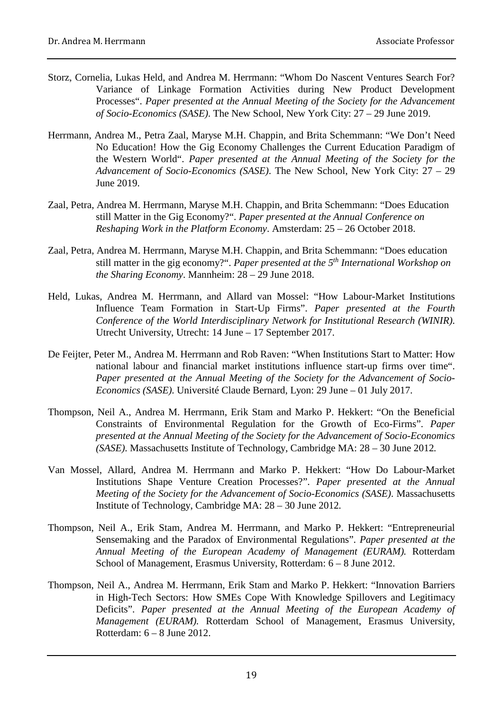- Storz, Cornelia, Lukas Held, and Andrea M. Herrmann: "Whom Do Nascent Ventures Search For? Variance of Linkage Formation Activities during New Product Development Processes". *Paper presented at the Annual Meeting of the Society for the Advancement of Socio-Economics (SASE)*. The New School, New York City: 27 – 29 June 2019.
- Herrmann, Andrea M., Petra Zaal, Maryse M.H. Chappin, and Brita Schemmann: "We Don't Need No Education! How the Gig Economy Challenges the Current Education Paradigm of the Western World". *Paper presented at the Annual Meeting of the Society for the Advancement of Socio-Economics (SASE)*. The New School, New York City: 27 – 29 June 2019.
- Zaal, Petra, Andrea M. Herrmann, Maryse M.H. Chappin, and Brita Schemmann: "Does Education still Matter in the Gig Economy?". *Paper presented at the Annual Conference on Reshaping Work in the Platform Economy*. Amsterdam: 25 – 26 October 2018.
- Zaal, Petra, Andrea M. Herrmann, Maryse M.H. Chappin, and Brita Schemmann: "Does education still matter in the gig economy?". *Paper presented at the 5th International Workshop on the Sharing Economy*. Mannheim: 28 – 29 June 2018.
- Held, Lukas, Andrea M. Herrmann, and Allard van Mossel: "How Labour-Market Institutions Influence Team Formation in Start-Up Firms". *Paper presented at the Fourth Conference of the World Interdisciplinary Network for Institutional Research (WINIR)*. Utrecht University, Utrecht: 14 June – 17 September 2017.
- De Feijter, Peter M., Andrea M. Herrmann and Rob Raven: "When Institutions Start to Matter: How national labour and financial market institutions influence start-up firms over time". *Paper presented at the Annual Meeting of the Society for the Advancement of Socio-Economics (SASE)*. Université Claude Bernard, Lyon: 29 June – 01 July 2017.
- Thompson, Neil A., Andrea M. Herrmann, Erik Stam and Marko P. Hekkert: "On the Beneficial Constraints of Environmental Regulation for the Growth of Eco-Firms". *Paper presented at the Annual Meeting of the Society for the Advancement of Socio-Economics (SASE)*. Massachusetts Institute of Technology, Cambridge MA: 28 – 30 June 2012*.*
- Van Mossel, Allard, Andrea M. Herrmann and Marko P. Hekkert: "How Do Labour-Market Institutions Shape Venture Creation Processes?". *Paper presented at the Annual Meeting of the Society for the Advancement of Socio-Economics (SASE)*. Massachusetts Institute of Technology, Cambridge MA: 28 – 30 June 2012*.*
- Thompson, Neil A., Erik Stam, Andrea M. Herrmann, and Marko P. Hekkert: "Entrepreneurial Sensemaking and the Paradox of Environmental Regulations". *Paper presented at the Annual Meeting of the European Academy of Management (EURAM).* Rotterdam School of Management, Erasmus University, Rotterdam: 6 – 8 June 2012.
- Thompson, Neil A., Andrea M. Herrmann, Erik Stam and Marko P. Hekkert: "Innovation Barriers in High-Tech Sectors: How SMEs Cope With Knowledge Spillovers and Legitimacy Deficits". *Paper presented at the Annual Meeting of the European Academy of Management (EURAM).* Rotterdam School of Management, Erasmus University, Rotterdam: 6 – 8 June 2012.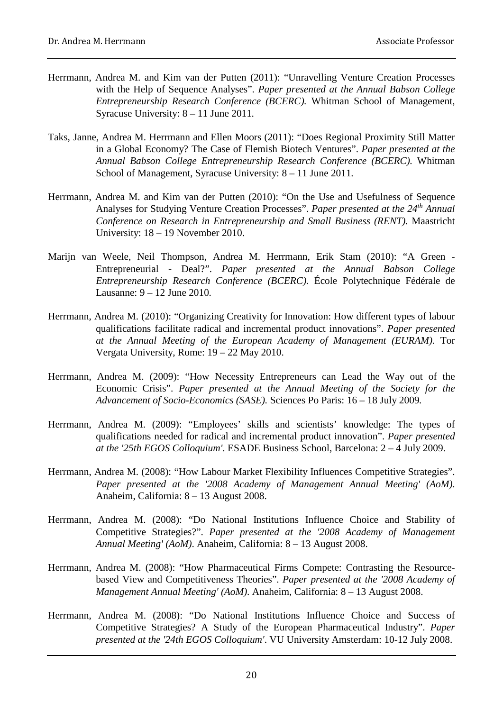- Herrmann, Andrea M. and Kim van der Putten (2011): "Unravelling Venture Creation Processes with the Help of Sequence Analyses". *Paper presented at the Annual Babson College Entrepreneurship Research Conference (BCERC).* Whitman School of Management, Syracuse University: 8 – 11 June 2011*.*
- Taks, Janne, Andrea M. Herrmann and Ellen Moors (2011): "Does Regional Proximity Still Matter in a Global Economy? The Case of Flemish Biotech Ventures". *Paper presented at the Annual Babson College Entrepreneurship Research Conference (BCERC).* Whitman School of Management, Syracuse University: 8 – 11 June 2011*.*
- Herrmann, Andrea M. and Kim van der Putten (2010): "On the Use and Usefulness of Sequence Analyses for Studying Venture Creation Processes". *Paper presented at the 24th Annual Conference on Research in Entrepreneurship and Small Business (RENT).* Maastricht University: 18 – 19 November 2010.
- Marijn van Weele, Neil Thompson, Andrea M. Herrmann, Erik Stam (2010): "A Green Entrepreneurial - Deal?". *Paper presented at the Annual Babson College Entrepreneurship Research Conference (BCERC).* École Polytechnique Fédérale de Lausanne: 9 – 12 June 2010*.*
- Herrmann, Andrea M. (2010): "Organizing Creativity for Innovation: How different types of labour qualifications facilitate radical and incremental product innovations". *Paper presented at the Annual Meeting of the European Academy of Management (EURAM).* Tor Vergata University, Rome: 19 – 22 May 2010.
- Herrmann, Andrea M. (2009): "How Necessity Entrepreneurs can Lead the Way out of the Economic Crisis". *Paper presented at the Annual Meeting of the Society for the Advancement of Socio-Economics (SASE).* Sciences Po Paris: 16 – 18 July 2009*.*
- Herrmann, Andrea M. (2009): "Employees' skills and scientists' knowledge: The types of qualifications needed for radical and incremental product innovation". *Paper presented at the '25th EGOS Colloquium'*. ESADE Business School, Barcelona: 2 – 4 July 2009.
- Herrmann, Andrea M. (2008): "How Labour Market Flexibility Influences Competitive Strategies". *Paper presented at the '2008 Academy of Management Annual Meeting' (AoM)*. Anaheim, California: 8 – 13 August 2008.
- Herrmann, Andrea M. (2008): "Do National Institutions Influence Choice and Stability of Competitive Strategies?". *Paper presented at the '2008 Academy of Management Annual Meeting' (AoM)*. Anaheim, California: 8 – 13 August 2008.
- Herrmann, Andrea M. (2008): "How Pharmaceutical Firms Compete: Contrasting the Resourcebased View and Competitiveness Theories". *Paper presented at the '2008 Academy of Management Annual Meeting' (AoM)*. Anaheim, California: 8 – 13 August 2008.
- Herrmann, Andrea M. (2008): "Do National Institutions Influence Choice and Success of Competitive Strategies? A Study of the European Pharmaceutical Industry". *Paper presented at the '24th EGOS Colloquium'*. VU University Amsterdam: 10-12 July 2008.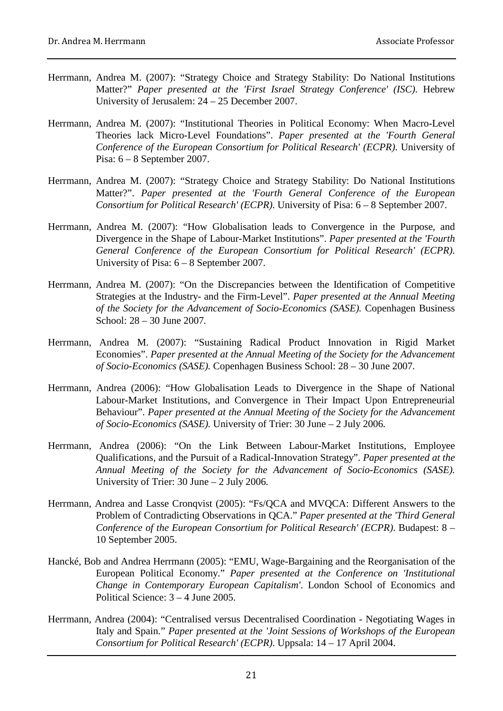- Herrmann, Andrea M. (2007): "Strategy Choice and Strategy Stability: Do National Institutions Matter?" *Paper presented at the 'First Israel Strategy Conference' (ISC)*. Hebrew University of Jerusalem: 24 – 25 December 2007.
- Herrmann, Andrea M. (2007): "Institutional Theories in Political Economy: When Macro-Level Theories lack Micro-Level Foundations". *Paper presented at the 'Fourth General Conference of the European Consortium for Political Research' (ECPR)*. University of Pisa: 6 – 8 September 2007.
- Herrmann, Andrea M. (2007): "Strategy Choice and Strategy Stability: Do National Institutions Matter?". *Paper presented at the 'Fourth General Conference of the European Consortium for Political Research' (ECPR)*. University of Pisa: 6 – 8 September 2007.
- Herrmann, Andrea M. (2007): "How Globalisation leads to Convergence in the Purpose, and Divergence in the Shape of Labour-Market Institutions". *Paper presented at the 'Fourth General Conference of the European Consortium for Political Research' (ECPR)*. University of Pisa: 6 – 8 September 2007.
- Herrmann, Andrea M. (2007): "On the Discrepancies between the Identification of Competitive Strategies at the Industry- and the Firm-Level". *Paper presented at the Annual Meeting of the Society for the Advancement of Socio-Economics (SASE).* Copenhagen Business School: 28 – 30 June 2007*.*
- Herrmann, Andrea M. (2007): "Sustaining Radical Product Innovation in Rigid Market Economies". *Paper presented at the Annual Meeting of the Society for the Advancement of Socio-Economics (SASE).* Copenhagen Business School: 28 – 30 June 2007*.*
- Herrmann, Andrea (2006): "How Globalisation Leads to Divergence in the Shape of National Labour-Market Institutions, and Convergence in Their Impact Upon Entrepreneurial Behaviour". *Paper presented at the Annual Meeting of the Society for the Advancement of Socio-Economics (SASE).* University of Trier: 30 June – 2 July 2006*.*
- Herrmann, Andrea (2006): "On the Link Between Labour-Market Institutions, Employee Qualifications, and the Pursuit of a Radical-Innovation Strategy". *Paper presented at the Annual Meeting of the Society for the Advancement of Socio-Economics (SASE).* University of Trier: 30 June – 2 July 2006*.*
- Herrmann, Andrea and Lasse Cronqvist (2005): "Fs/QCA and MVQCA: Different Answers to the Problem of Contradicting Observations in QCA." *Paper presented at the 'Third General Conference of the European Consortium for Political Research' (ECPR)*. Budapest: 8 – 10 September 2005.
- Hancké, Bob and Andrea Herrmann (2005): "EMU, Wage-Bargaining and the Reorganisation of the European Political Economy." *Paper presented at the Conference on 'Institutional Change in Contemporary European Capitalism'*. London School of Economics and Political Science: 3 – 4 June 2005.
- Herrmann, Andrea (2004): "Centralised versus Decentralised Coordination Negotiating Wages in Italy and Spain." *Paper presented at the 'Joint Sessions of Workshops of the European Consortium for Political Research' (ECPR)*. Uppsala: 14 – 17 April 2004.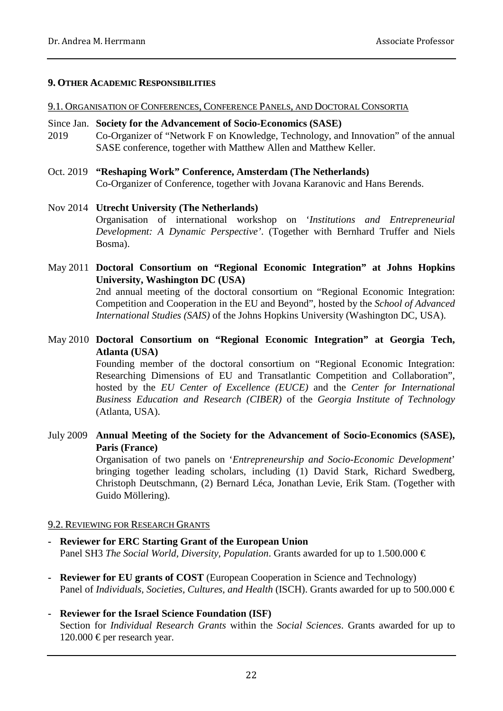#### **9. OTHER ACADEMIC RESPONSIBILITIES**

#### 9.1. ORGANISATION OF CONFERENCES, CONFERENCE PANELS, AND DOCTORAL CONSORTIA

#### Since Jan. **Society for the Advancement of Socio-Economics (SASE)**

- 2019 Co-Organizer of "Network F on Knowledge, Technology, and Innovation" of the annual SASE conference, together with Matthew Allen and Matthew Keller.
- Oct. 2019 **"Reshaping Work" Conference, Amsterdam (The Netherlands)** Co-Organizer of Conference, together with Jovana Karanovic and Hans Berends.

#### Nov 2014 **Utrecht University (The Netherlands)**

Organisation of international workshop on '*Institutions and Entrepreneurial Development: A Dynamic Perspective'*. (Together with Bernhard Truffer and Niels Bosma).

May 2011 **Doctoral Consortium on "Regional Economic Integration" at Johns Hopkins University, Washington DC (USA)**

2nd annual meeting of the doctoral consortium on "Regional Economic Integration: Competition and Cooperation in the EU and Beyond", hosted by the *School of Advanced International Studies (SAIS)* of the Johns Hopkins University (Washington DC, USA).

#### May 2010 **Doctoral Consortium on "Regional Economic Integration" at Georgia Tech, Atlanta (USA)**

Founding member of the doctoral consortium on "Regional Economic Integration: Researching Dimensions of EU and Transatlantic Competition and Collaboration", hosted by the *EU Center of Excellence (EUCE)* and the *Center for International Business Education and Research (CIBER)* of the *Georgia Institute of Technology* (Atlanta, USA).

July 2009 **Annual Meeting of the Society for the Advancement of Socio-Economics (SASE), Paris (France)**

Organisation of two panels on '*Entrepreneurship and Socio-Economic Development*' bringing together leading scholars, including (1) David Stark, Richard Swedberg, Christoph Deutschmann, (2) Bernard Léca, Jonathan Levie, Erik Stam. (Together with Guido Möllering).

#### 9.2. REVIEWING FOR RESEARCH GRANTS

- **- Reviewer for ERC Starting Grant of the European Union** Panel SH3 *The Social World, Diversity, Population*. Grants awarded for up to 1.500.000 €
- **- Reviewer for EU grants of COST** (European Cooperation in Science and Technology) Panel of *Individuals, Societies, Cultures, and Health* (ISCH). Grants awarded for up to 500.000 €

#### **- Reviewer for the Israel Science Foundation (ISF)**

Section for *Individual Research Grants* within the *Social Sciences*. Grants awarded for up to 120.000 € per research year.